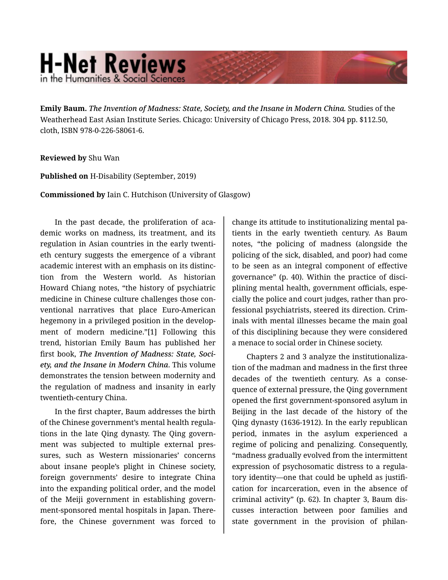## **H-Net Reviews** in the Humanities & Social Scienc

**Emily Baum.** *The Invention of Madness: State, Society, and the Insane in Modern China.* Studies of the Weatherhead East Asian Institute Series. Chicago: University of Chicago Press, 2018. 304 pp. \$112.50, cloth, ISBN 978-0-226-58061-6.

## **Reviewed by** Shu Wan

**Published on** H-Disability (September, 2019)

**Commissioned by** Iain C. Hutchison (University of Glasgow)

In the past decade, the proliferation of academic works on madness, its treatment, and its regulation in Asian countries in the early twenti‐ eth century suggests the emergence of a vibrant academic interest with an emphasis on its distinc‐ tion from the Western world. As historian Howard Chiang notes, "the history of psychiatric medicine in Chinese culture challenges those con‐ ventional narratives that place Euro-American hegemony in a privileged position in the develop‐ ment of modern medicine."[1] Following this trend, historian Emily Baum has published her first book, *The Invention of Madness: State, Soci‐ ety, and the Insane in Modern China*. This volume demonstrates the tension between modernity and the regulation of madness and insanity in early twentieth-century China.

In the first chapter, Baum addresses the birth of the Chinese government's mental health regula‐ tions in the late Qing dynasty. The Qing govern‐ ment was subjected to multiple external pressures, such as Western missionaries' concerns about insane people's plight in Chinese society, foreign governments' desire to integrate China into the expanding political order, and the model of the Meiji government in establishing govern‐ ment-sponsored mental hospitals in Japan. There‐ fore, the Chinese government was forced to

change its attitude to institutionalizing mental pa‐ tients in the early twentieth century. As Baum notes, "the policing of madness (alongside the policing of the sick, disabled, and poor) had come to be seen as an integral component of effective governance" (p. 40). Within the practice of disci‐ plining mental health, government officials, espe‐ cially the police and court judges, rather than pro‐ fessional psychiatrists, steered its direction. Crim‐ inals with mental illnesses became the main goal of this disciplining because they were considered a menace to social order in Chinese society.

Chapters 2 and 3 analyze the institutionaliza‐ tion of the madman and madness in the first three decades of the twentieth century. As a conse‐ quence of external pressure, the Qing government opened the first government-sponsored asylum in Beijing in the last decade of the history of the Qing dynasty (1636-1912). In the early republican period, inmates in the asylum experienced a regime of policing and penalizing. Consequently, "madness gradually evolved from the intermittent expression of psychosomatic distress to a regula‐ tory identity—one that could be upheld as justifi‐ cation for incarceration, even in the absence of criminal activity" (p. 62). In chapter 3, Baum dis‐ cusses interaction between poor families and state government in the provision of philan-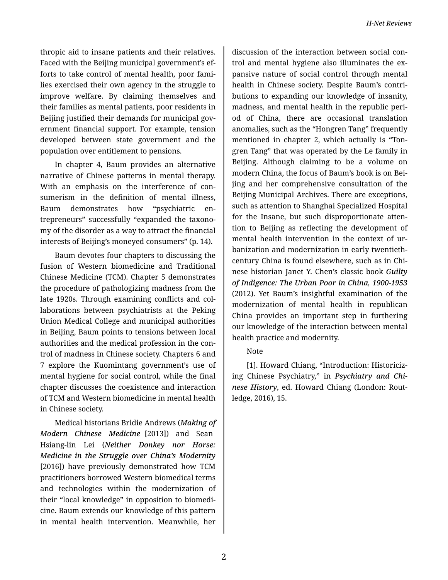thropic aid to insane patients and their relatives. Faced with the Beijing municipal government's ef‐ forts to take control of mental health, poor fami‐ lies exercised their own agency in the struggle to improve welfare. By claiming themselves and their families as mental patients, poor residents in Beijing justified their demands for municipal gov‐ ernment financial support. For example, tension developed between state government and the population over entitlement to pensions.

In chapter 4, Baum provides an alternative narrative of Chinese patterns in mental therapy. With an emphasis on the interference of consumerism in the definition of mental illness, Baum demonstrates how "psychiatric en‐ trepreneurs" successfully "expanded the taxono‐ my of the disorder as a way to attract the financial interests of Beijing's moneyed consumers" (p. 14).

Baum devotes four chapters to discussing the fusion of Western biomedicine and Traditional Chinese Medicine (TCM). Chapter 5 demonstrates the procedure of pathologizing madness from the late 1920s. Through examining conflicts and col‐ laborations between psychiatrists at the Peking Union Medical College and municipal authorities in Beijing, Baum points to tensions between local authorities and the medical profession in the con‐ trol of madness in Chinese society. Chapters 6 and 7 explore the Kuomintang government's use of mental hygiene for social control, while the final chapter discusses the coexistence and interaction of TCM and Western biomedicine in mental health in Chinese society.

Medical historians Bridie Andrews (*Making of Modern Chinese Medicine* [2013]) and Sean Hsiang-lin Lei (*Neither Donkey nor Horse: Medicine in the Struggle over China's Modernity* [2016]) have previously demonstrated how TCM practitioners borrowed Western biomedical terms and technologies within the modernization of their "local knowledge" in opposition to biomedi‐ cine. Baum extends our knowledge of this pattern in mental health intervention. Meanwhile, her

discussion of the interaction between social con‐ trol and mental hygiene also illuminates the ex‐ pansive nature of social control through mental health in Chinese society. Despite Baum's contri‐ butions to expanding our knowledge of insanity, madness, and mental health in the republic peri‐ od of China, there are occasional translation anomalies, such as the "Hongren Tang" frequently mentioned in chapter 2, which actually is "Ton‐ gren Tang" that was operated by the Le family in Beijing. Although claiming to be a volume on modern China, the focus of Baum's book is on Bei‐ jing and her comprehensive consultation of the Beijing Municipal Archives. There are exceptions, such as attention to Shanghai Specialized Hospital for the Insane, but such disproportionate atten‐ tion to Beijing as reflecting the development of mental health intervention in the context of ur‐ banization and modernization in early twentiethcentury China is found elsewhere, such as in Chi‐ nese historian Janet Y. Chen's classic book *Guilty of Indigence: The Urban Poor in China, 1900-1953* (2012). Yet Baum's insightful examination of the modernization of mental health in republican China provides an important step in furthering our knowledge of the interaction between mental health practice and modernity.

## Note

[1]. Howard Chiang, "Introduction: Historiciz‐ ing Chinese Psychiatry," in *Psychiatry and Chi‐ nese History*, ed. Howard Chiang (London: Rout‐ ledge, 2016), 15.